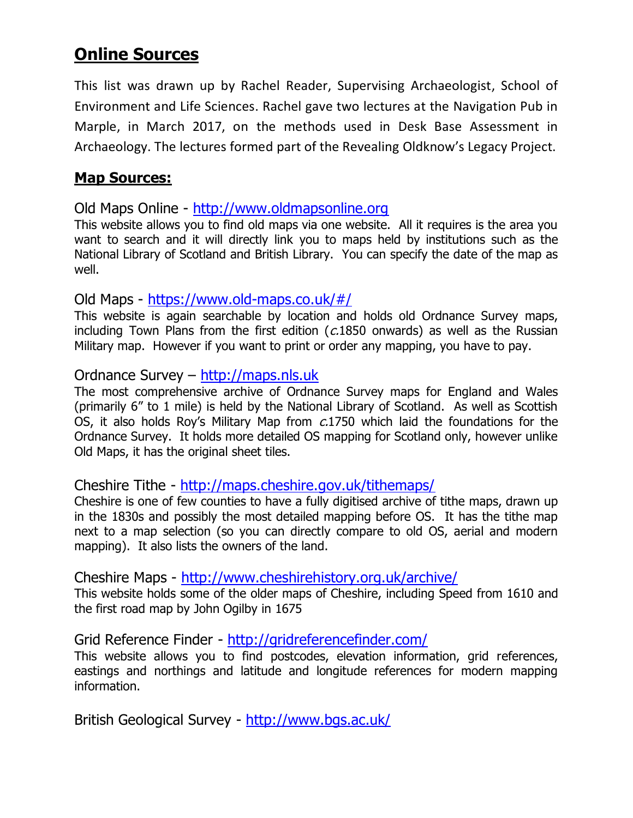# **Online Sources**

This list was drawn up by Rachel Reader, Supervising Archaeologist, School of Environment and Life Sciences. Rachel gave two lectures at the Navigation Pub in Marple, in March 2017, on the methods used in Desk Base Assessment in Archaeology. The lectures formed part of the Revealing Oldknow's Legacy Project.

# **Map Sources:**

Old Maps Online - [http://www.oldmapsonline.org](http://www.oldmapsonline.org/)

This website allows you to find old maps via one website. All it requires is the area you want to search and it will directly link you to maps held by institutions such as the National Library of Scotland and British Library. You can specify the date of the map as well.

Old Maps - <https://www.old-maps.co.uk/#/>

This website is again searchable by location and holds old Ordnance Survey maps, including Town Plans from the first edition ( $c$ .1850 onwards) as well as the Russian Military map. However if you want to print or order any mapping, you have to pay.

### Ordnance Survey – [http://maps.nls.uk](http://maps.nls.uk/)

The most comprehensive archive of Ordnance Survey maps for England and Wales (primarily 6" to 1 mile) is held by the National Library of Scotland. As well as Scottish OS, it also holds Roy's Military Map from c.1750 which laid the foundations for the Ordnance Survey. It holds more detailed OS mapping for Scotland only, however unlike Old Maps, it has the original sheet tiles.

### Cheshire Tithe - <http://maps.cheshire.gov.uk/tithemaps/>

Cheshire is one of few counties to have a fully digitised archive of tithe maps, drawn up in the 1830s and possibly the most detailed mapping before OS. It has the tithe map next to a map selection (so you can directly compare to old OS, aerial and modern mapping). It also lists the owners of the land.

Cheshire Maps - <http://www.cheshirehistory.org.uk/archive/>

This website holds some of the older maps of Cheshire, including Speed from 1610 and the first road map by John Ogilby in 1675

Grid Reference Finder - <http://gridreferencefinder.com/>

This website allows you to find postcodes, elevation information, grid references, eastings and northings and latitude and longitude references for modern mapping information.

British Geological Survey - <http://www.bgs.ac.uk/>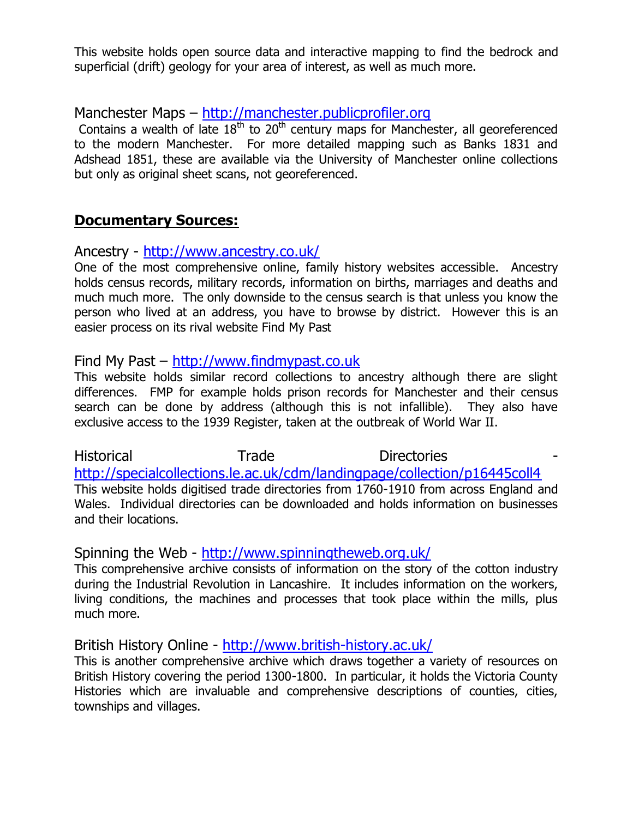This website holds open source data and interactive mapping to find the bedrock and superficial (drift) geology for your area of interest, as well as much more.

Manchester Maps – [http://manchester.publicprofiler.org](http://manchester.publicprofiler.org/)

Contains a wealth of late 18<sup>th</sup> to 20<sup>th</sup> century maps for Manchester, all georeferenced to the modern Manchester. For more detailed mapping such as Banks 1831 and Adshead 1851, these are available via the University of Manchester online collections but only as original sheet scans, not georeferenced.

## **Documentary Sources:**

Ancestry - <http://www.ancestry.co.uk/>

One of the most comprehensive online, family history websites accessible. Ancestry holds census records, military records, information on births, marriages and deaths and much much more. The only downside to the census search is that unless you know the person who lived at an address, you have to browse by district. However this is an easier process on its rival website Find My Past

### Find My Past – [http://www.findmypast.co.uk](http://www.findmypast.co.uk/)

This website holds similar record collections to ancestry although there are slight differences. FMP for example holds prison records for Manchester and their census search can be done by address (although this is not infallible). They also have exclusive access to the 1939 Register, taken at the outbreak of World War II.

Historical Trade Directories <http://specialcollections.le.ac.uk/cdm/landingpage/collection/p16445coll4> This website holds digitised trade directories from 1760-1910 from across England and Wales. Individual directories can be downloaded and holds information on businesses and their locations.

#### Spinning the Web - <http://www.spinningtheweb.org.uk/>

This comprehensive archive consists of information on the story of the cotton industry during the Industrial Revolution in Lancashire. It includes information on the workers, living conditions, the machines and processes that took place within the mills, plus much more.

British History Online - <http://www.british-history.ac.uk/>

This is another comprehensive archive which draws together a variety of resources on British History covering the period 1300-1800. In particular, it holds the Victoria County Histories which are invaluable and comprehensive descriptions of counties, cities, townships and villages.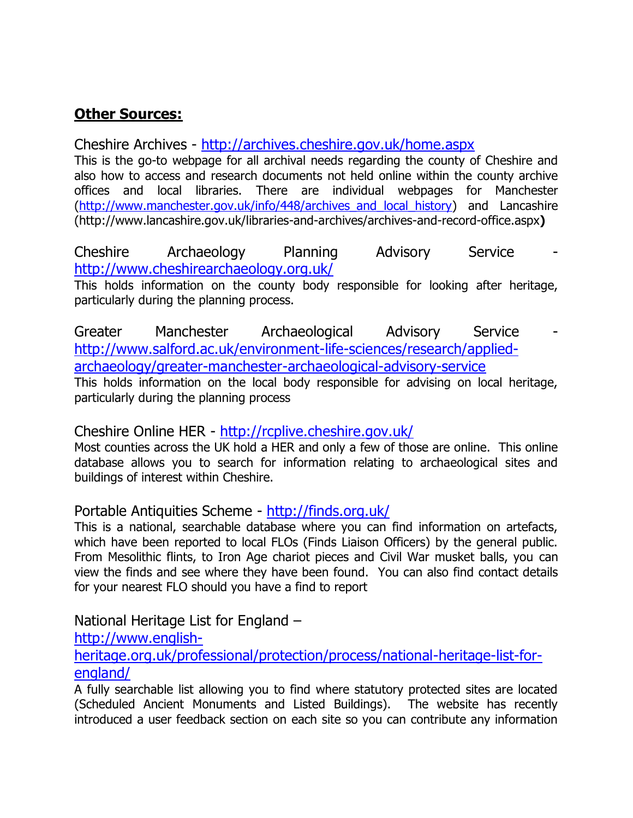# **Other Sources:**

Cheshire Archives - <http://archives.cheshire.gov.uk/home.aspx>

This is the go-to webpage for all archival needs regarding the county of Cheshire and also how to access and research documents not held online within the county archive offices and local libraries. There are individual webpages for Manchester (http://www.manchester.gov.uk/info/448/archives and local history) and Lancashire (http://www.lancashire.gov.uk/libraries-and-archives/archives-and-record-office.aspx**)**

Cheshire Archaeology Planning Advisory Service <http://www.cheshirearchaeology.org.uk/>

This holds information on the county body responsible for looking after heritage, particularly during the planning process.

Greater Manchester Archaeological Advisory Service [http://www.salford.ac.uk/environment-life-sciences/research/applied](http://www.salford.ac.uk/environment-life-sciences/research/applied-archaeology/greater-manchester-archaeological-advisory-service)[archaeology/greater-manchester-archaeological-advisory-service](http://www.salford.ac.uk/environment-life-sciences/research/applied-archaeology/greater-manchester-archaeological-advisory-service) This holds information on the local body responsible for advising on local heritage,

particularly during the planning process

Cheshire Online HER - <http://rcplive.cheshire.gov.uk/>

Most counties across the UK hold a HER and only a few of those are online. This online database allows you to search for information relating to archaeological sites and buildings of interest within Cheshire.

Portable Antiquities Scheme - <http://finds.org.uk/>

This is a national, searchable database where you can find information on artefacts, which have been reported to local FLOs (Finds Liaison Officers) by the general public. From Mesolithic flints, to Iron Age chariot pieces and Civil War musket balls, you can view the finds and see where they have been found. You can also find contact details for your nearest FLO should you have a find to report

National Heritage List for England –

[http://www.english-](http://www.english-heritage.org.uk/professional/protection/process/national-heritage-list-for-england/)

[heritage.org.uk/professional/protection/process/national-heritage-list-for](http://www.english-heritage.org.uk/professional/protection/process/national-heritage-list-for-england/)[england/](http://www.english-heritage.org.uk/professional/protection/process/national-heritage-list-for-england/)

A fully searchable list allowing you to find where statutory protected sites are located (Scheduled Ancient Monuments and Listed Buildings). The website has recently introduced a user feedback section on each site so you can contribute any information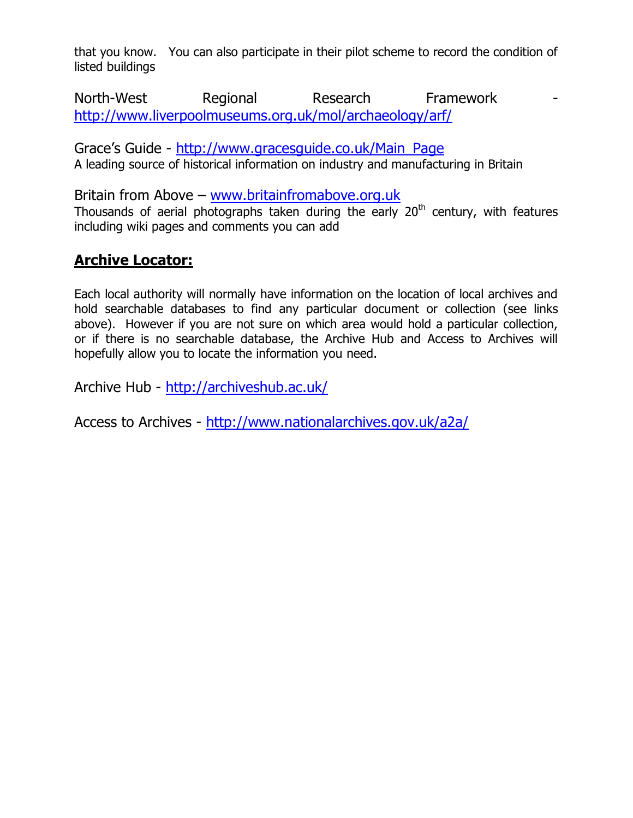that you know. You can also participate in their pilot scheme to record the condition of listed buildings

North-West Regional Research Framework <http://www.liverpoolmuseums.org.uk/mol/archaeology/arf/>

Grace's Guide - [http://www.gracesguide.co.uk/Main\\_Page](http://www.gracesguide.co.uk/Main_Page) A leading source of historical information on industry and manufacturing in Britain

Britain from Above – [www.britainfromabove.org.uk](http://www.britainfromabove.org.uk/) Thousands of aerial photographs taken during the early  $20<sup>th</sup>$  century, with features including wiki pages and comments you can add

# **Archive Locator:**

Each local authority will normally have information on the location of local archives and hold searchable databases to find any particular document or collection (see links above). However if you are not sure on which area would hold a particular collection, or if there is no searchable database, the Archive Hub and Access to Archives will hopefully allow you to locate the information you need.

Archive Hub - <http://archiveshub.ac.uk/>

Access to Archives - <http://www.nationalarchives.gov.uk/a2a/>